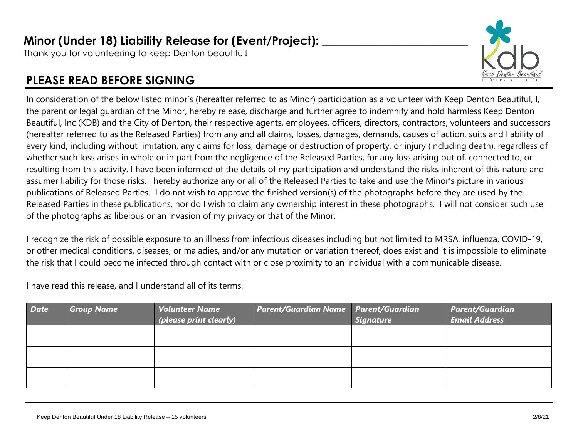Thank you for volunteering to keep Denton beautiful!

## **PLEASE READ BEFORE SIGNING**



In consideration of the below listed minor's (hereafter referred to as Minor) participation as a volunteer with Keep Denton Beautiful, I, the parent or legal guardian of the Minor, hereby release, discharge and further agree to indemnify and hold harmless Keep Denton Beautiful, Inc (KDB) and the City of Denton, their respective agents, employees, officers, directors, contractors, volunteers and successors (hereafter referred to as the Released Parties) from any and all claims, losses, damages, demands, causes of action, suits and liability of every kind, including without limitation, any claims for loss, damage or destruction of property, or injury (including death), regardless of whether such loss arises in whole or in part from the negligence of the Released Parties, for any loss arising out of, connected to, or resulting from this activity. I have been informed of the details of my participation and understand the risks inherent of this nature and assumer liability for those risks. I hereby authorize any or all of the Released Parties to take and use the Minor's picture in various publications of Released Parties. I do not wish to approve the finished version(s) of the photographs before they are used by the Released Parties in these publications, nor do I wish to claim any ownership interest in these photographs. I will not consider such use of the photographs as libelous or an invasion of my privacy or that of the Minor.

I recognize the risk of possible exposure to an illness from infectious diseases including but not limited to MRSA, influenza, COVID-19, or other medical conditions, diseases, or maladies, and/or any mutation or variation thereof, does exist and it is impossible to eliminate the risk that I could become infected through contact with or close proximity to an individual with a communicable disease.

I have read this release, and I understand all of its terms.

| <b>Date</b> | <b>Group Name</b> | <b>Volunteer Name</b><br>(please print clearly) | <b>Parent/Guardian Name   Parent/Guardian</b> | <b>Signature</b> | <b>Parent/Guardian</b><br><b>Email Address</b> |
|-------------|-------------------|-------------------------------------------------|-----------------------------------------------|------------------|------------------------------------------------|
|             |                   |                                                 |                                               |                  |                                                |
|             |                   |                                                 |                                               |                  |                                                |
|             |                   |                                                 |                                               |                  |                                                |